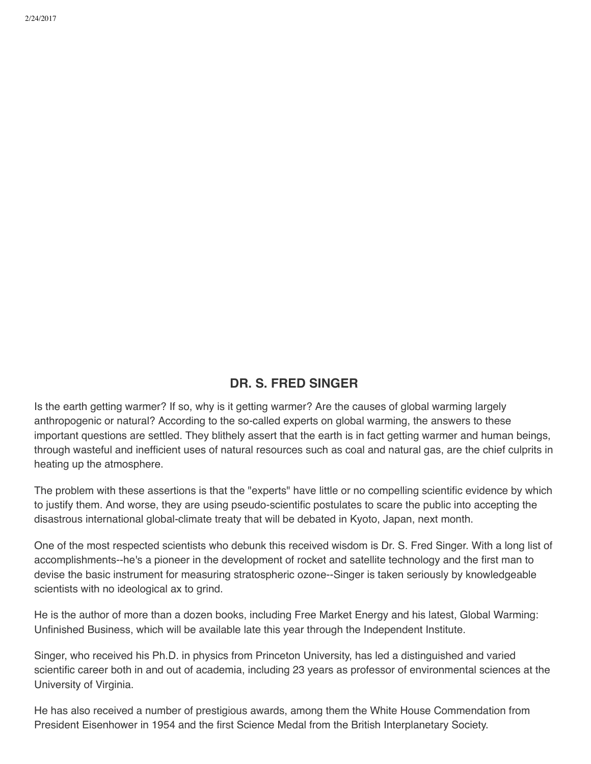## **DR. S. FRED SINGER**

Is the earth getting warmer? If so, why is it getting warmer? Are the causes of global warming largely anthropogenic or natural? According to the so-called experts on global warming, the answers to these important questions are settled. They blithely assert that the earth is in fact getting warmer and human beings, through wasteful and inefficient uses of natural resources such as coal and natural gas, are the chief culprits in heating up the atmosphere.

The problem with these assertions is that the "experts" have little or no compelling scientific evidence by which to justify them. And worse, they are using pseudo-scientific postulates to scare the public into accepting the disastrous international global-climate treaty that will be debated in Kyoto, Japan, next month.

One of the most respected scientists who debunk this received wisdom is Dr. S. Fred Singer. With a long list of accomplishments--he's a pioneer in the development of rocket and satellite technology and the first man to devise the basic instrument for measuring stratospheric ozone--Singer is taken seriously by knowledgeable scientists with no ideological ax to grind.

He is the author of more than a dozen books, including Free Market Energy and his latest, Global Warming: Unfinished Business, which will be available late this year through the Independent Institute.

Singer, who received his Ph.D. in physics from Princeton University, has led a distinguished and varied scientific career both in and out of academia, including 23 years as professor of environmental sciences at the University of Virginia.

He has also received a number of prestigious awards, among them the White House Commendation from President Eisenhower in 1954 and the first Science Medal from the British Interplanetary Society.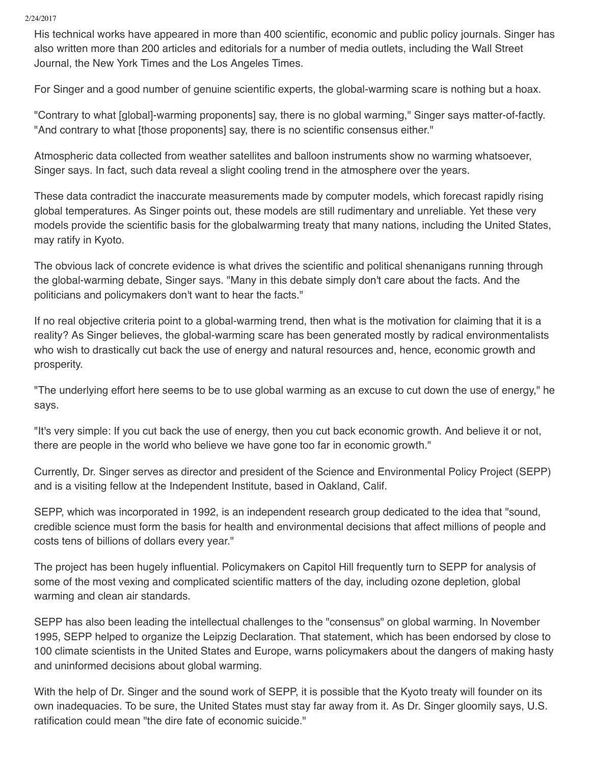2/24/2017

His technical works have appeared in more than 400 scientific, economic and public policy journals. Singer has also written more than 200 articles and editorials for a number of media outlets, including the Wall Street Journal, the New York Times and the Los Angeles Times.

For Singer and a good number of genuine scientific experts, the global-warming scare is nothing but a hoax.

"Contrary to what [global]-warming proponents] say, there is no global warming," Singer says matter-of-factly. "And contrary to what [those proponents] say, there is no scientific consensus either."

Atmospheric data collected from weather satellites and balloon instruments show no warming whatsoever, Singer says. In fact, such data reveal a slight cooling trend in the atmosphere over the years.

These data contradict the inaccurate measurements made by computer models, which forecast rapidly rising global temperatures. As Singer points out, these models are still rudimentary and unreliable. Yet these very models provide the scientific basis for the globalwarming treaty that many nations, including the United States, may ratify in Kyoto.

The obvious lack of concrete evidence is what drives the scientific and political shenanigans running through the global-warming debate, Singer says. "Many in this debate simply don't care about the facts. And the politicians and policymakers don't want to hear the facts."

If no real objective criteria point to a global-warming trend, then what is the motivation for claiming that it is a reality? As Singer believes, the global-warming scare has been generated mostly by radical environmentalists who wish to drastically cut back the use of energy and natural resources and, hence, economic growth and prosperity.

"The underlying effort here seems to be to use global warming as an excuse to cut down the use of energy," he says.

"It's very simple: If you cut back the use of energy, then you cut back economic growth. And believe it or not, there are people in the world who believe we have gone too far in economic growth."

Currently, Dr. Singer serves as director and president of the Science and Environmental Policy Project (SEPP) and is a visiting fellow at the Independent Institute, based in Oakland, Calif.

SEPP, which was incorporated in 1992, is an independent research group dedicated to the idea that "sound, credible science must form the basis for health and environmental decisions that affect millions of people and costs tens of billions of dollars every year."

The project has been hugely influential. Policymakers on Capitol Hill frequently turn to SEPP for analysis of some of the most vexing and complicated scientific matters of the day, including ozone depletion, global warming and clean air standards.

SEPP has also been leading the intellectual challenges to the "consensus" on global warming. In November 1995, SEPP helped to organize the Leipzig Declaration. That statement, which has been endorsed by close to 100 climate scientists in the United States and Europe, warns policymakers about the dangers of making hasty and uninformed decisions about global warming.

With the help of Dr. Singer and the sound work of SEPP, it is possible that the Kyoto treaty will founder on its own inadequacies. To be sure, the United States must stay far away from it. As Dr. Singer gloomily says, U.S. ratification could mean "the dire fate of economic suicide."